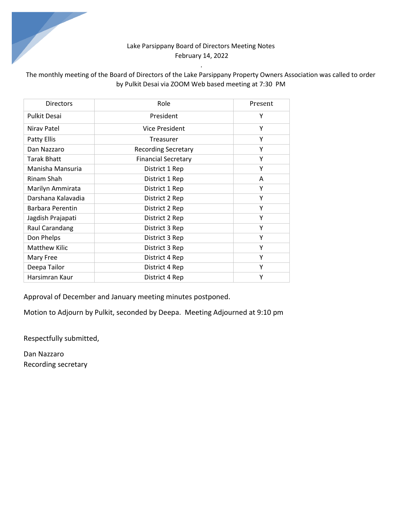# Lake Parsippany Board of Directors Meeting Notes February 14, 2022

# The monthly meeting of the Board of Directors of the Lake Parsippany Property Owners Association was called to order by Pulkit Desai via ZOOM Web based meeting at 7:30 PM

*.* 

| <b>Directors</b>     | Role                       | Present |  |
|----------------------|----------------------------|---------|--|
| <b>Pulkit Desai</b>  | President                  | Υ       |  |
| Nirav Patel          | <b>Vice President</b>      | Υ       |  |
| Patty Ellis          | Treasurer                  | Υ       |  |
| Dan Nazzaro          | <b>Recording Secretary</b> | Υ       |  |
| <b>Tarak Bhatt</b>   | <b>Financial Secretary</b> | Υ       |  |
| Manisha Mansuria     | District 1 Rep             | Υ       |  |
| Rinam Shah           | District 1 Rep             | A       |  |
| Marilyn Ammirata     | District 1 Rep             | Υ       |  |
| Darshana Kalavadia   | District 2 Rep             | Υ       |  |
| Barbara Perentin     | District 2 Rep             | Υ       |  |
| Jagdish Prajapati    | District 2 Rep             | Y       |  |
| Raul Carandang       | District 3 Rep             | Y       |  |
| Don Phelps           | District 3 Rep             | Υ       |  |
| <b>Matthew Kilic</b> | District 3 Rep             | Y       |  |
| Mary Free            | District 4 Rep             | Υ       |  |
| Deepa Tailor         | Υ<br>District 4 Rep        |         |  |
| Harsimran Kaur       | Υ<br>District 4 Rep        |         |  |

Approval of December and January meeting minutes postponed.

Motion to Adjourn by Pulkit, seconded by Deepa. Meeting Adjourned at 9:10 pm

Respectfully submitted,

Dan Nazzaro Recording secretary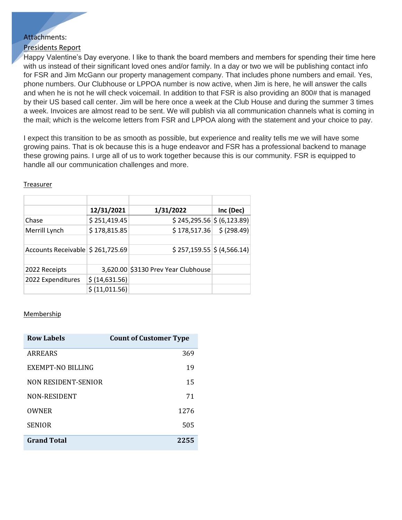# Attachments:

## Presidents Report

Happy Valentine's Day everyone. I like to thank the board members and members for spending their time here with us instead of their significant loved ones and/or family. In a day or two we will be publishing contact info for FSR and Jim McGann our property management company. That includes phone numbers and email. Yes, phone numbers. Our Clubhouse or LPPOA number is now active, when Jim is here, he will answer the calls and when he is not he will check voicemail. In addition to that FSR is also providing an 800# that is managed by their US based call center. Jim will be here once a week at the Club House and during the summer 3 times a week. Invoices are almost read to be sent. We will publish via all communication channels what is coming in the mail; which is the welcome letters from FSR and LPPOA along with the statement and your choice to pay.

I expect this transition to be as smooth as possible, but experience and reality tells me we will have some growing pains. That is ok because this is a huge endeavor and FSR has a professional backend to manage these growing pains. I urge all of us to work together because this is our community. FSR is equipped to handle all our communication challenges and more.

|                                   | 12/31/2021     | 1/31/2022                           | Inc (Dec)   |
|-----------------------------------|----------------|-------------------------------------|-------------|
| Chase                             | \$251,419.45   | $$245,295.56$$ $$ (6,123.89)$       |             |
| Merrill Lynch                     | \$178,815.85   | \$178,517.36                        | \$ (298.49) |
|                                   |                |                                     |             |
| Accounts Receivable \$ 261,725.69 |                | $$257,159.55$ $$(4,566.14)$         |             |
|                                   |                |                                     |             |
| 2022 Receipts                     |                | 3,620.00 \$3130 Prev Year Clubhouse |             |
| 2022 Expenditures                 | \$ (14,631.56) |                                     |             |
|                                   | \$ (11,011.56) |                                     |             |

#### **Treasurer**

#### Membership

| Row Labels          | <b>Count of Customer Type</b> |
|---------------------|-------------------------------|
| ARREARS             | 369                           |
| EXEMPT-NO BILLING   | 19                            |
| NON RESIDENT-SENIOR | 15                            |
| NON-RESIDENT        | 71                            |
| OWNER               | 12.76                         |
| <b>SENIOR</b>       | 505                           |
| <b>Grand Total</b>  | 2255                          |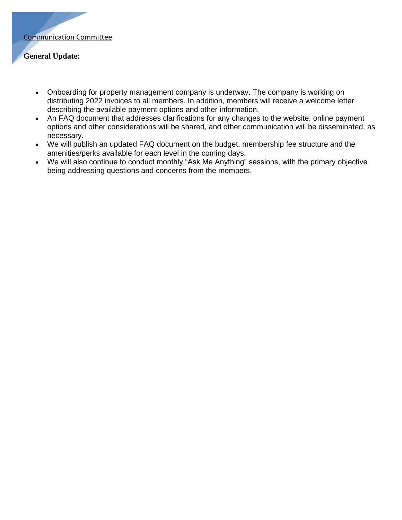

## **General Update:**

- Onboarding for property management company is underway. The company is working on distributing 2022 invoices to all members. In addition, members will receive a welcome letter describing the available payment options and other information.
- An FAQ document that addresses clarifications for any changes to the website, online payment options and other considerations will be shared, and other communication will be disseminated, as necessary.
- We will publish an updated FAQ document on the budget, membership fee structure and the amenities/perks available for each level in the coming days.
- We will also continue to conduct monthly "Ask Me Anything" sessions, with the primary objective being addressing questions and concerns from the members.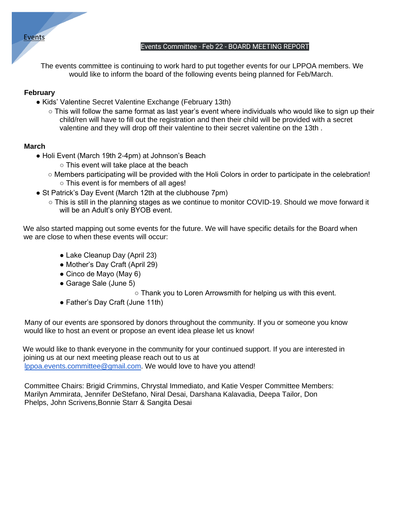## Events

#### Events Committee - Feb 22 - BOARD MEETING REPORT

The events committee is continuing to work hard to put together events for our LPPOA members. We would like to inform the board of the following events being planned for Feb/March.

### **February**

- Kids' Valentine Secret Valentine Exchange (February 13th)
	- This will follow the same format as last year's event where individuals who would like to sign up their child/ren will have to fill out the registration and then their child will be provided with a secret valentine and they will drop off their valentine to their secret valentine on the 13th .

### **March**

- Holi Event (March 19th 2-4pm) at Johnson's Beach
	- This event will take place at the beach
	- Members participating will be provided with the Holi Colors in order to participate in the celebration! ○ This event is for members of all ages!
- St Patrick's Day Event (March 12th at the clubhouse 7pm)
	- This is still in the planning stages as we continue to monitor COVID-19. Should we move forward it will be an Adult's only BYOB event.

We also started mapping out some events for the future. We will have specific details for the Board when we are close to when these events will occur:

- Lake Cleanup Day (April 23)
- Mother's Day Craft (April 29)
- Cinco de Mayo (May 6)
- Garage Sale (June 5)
	- Thank you to Loren Arrowsmith for helping us with this event.
- Father's Day Craft (June 11th)

Many of our events are sponsored by donors throughout the community. If you or someone you know would like to host an event or propose an event idea please let us know!

We would like to thank everyone in the community for your continued support. If you are interested in joining us at our next meeting please reach out to us at lppoa.events.committee@gmail.com. We would love to have you attend!

Committee Chairs: Brigid Crimmins, Chrystal Immediato, and Katie Vesper Committee Members: Marilyn Ammirata, Jennifer DeStefano, Niral Desai, Darshana Kalavadia, Deepa Tailor, Don Phelps, John Scrivens,Bonnie Starr & Sangita Desai